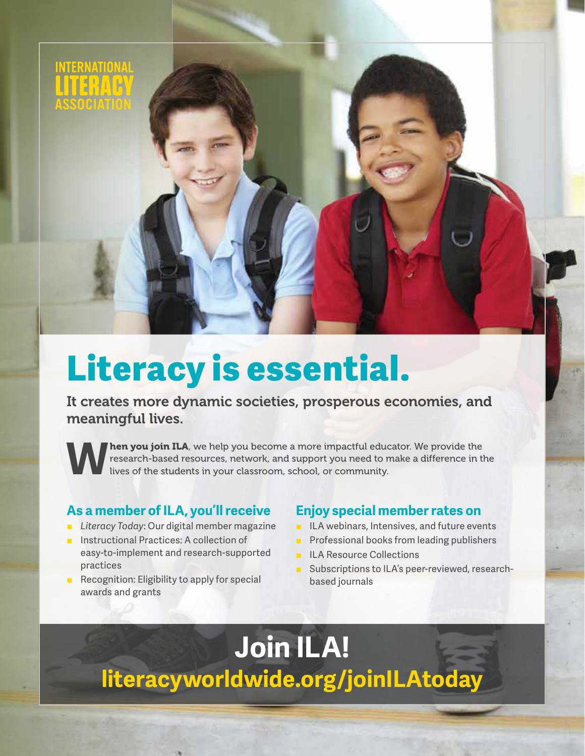

## **Literacy is essential.**

It creates more dynamic societies, prosperous economies, and meaningful lives.

**hen you join ILA**, we help you become a more impactful educator. We provide the research-based resources, network, and support you need to make a difference in the lives of the students in your classroom, school, or community.

## **As a member of ILA, you'll receive**

- *Literacy Today:* Our digital member magazine
- Instructional Practices: A collection of easy-to-implement and research-supported practices
- Recognition: Eligibility to apply for special awards and grants

## **Enjoy special member rates on**

- ILA webinars, Intensives, and future events
- Professional books from leading publishers
- **ILA Resource Collections**
- Subscriptions to ILA's peer-reviewed, researchbased journals

## **[literacyworldwide.org/joinILAtoday](http://literacyworldwide.org/joinILAtoday)  Join ILA!**